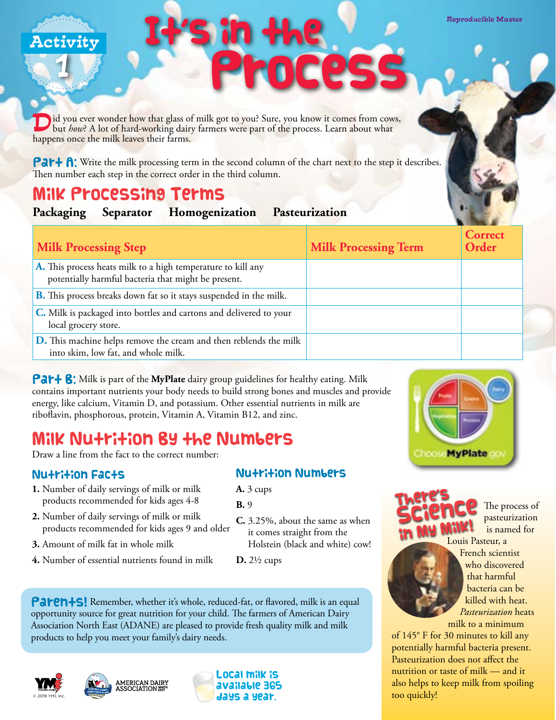I d you ever wonder how that glass of milk got to you? Sure, you know it comes from cows,<br>but *how*? A lot of hard-working dairy farmers were part of the process. Learn about what happens once the milk leaves their farms.

**Part A:** Write the milk processing term in the second column of the chart next to the step it describes. Then number each step in the correct order in the third column.

It's in the

### Milk Processing Terms

1

|  | Packaging | <b>Separator</b> | Homogenization | Pasteurization |
|--|-----------|------------------|----------------|----------------|
|--|-----------|------------------|----------------|----------------|

| <b>Milk Processing Step</b>                                                                                         | <b>Milk Processing Term</b> | <b>Correct</b><br>Order |
|---------------------------------------------------------------------------------------------------------------------|-----------------------------|-------------------------|
| A. This process heats milk to a high temperature to kill any<br>potentially harmful bacteria that might be present. |                             |                         |
| <b>B.</b> This process breaks down fat so it stays suspended in the milk.                                           |                             |                         |
| C. Milk is packaged into bottles and cartons and delivered to your<br>local grocery store.                          |                             |                         |
| D. This machine helps remove the cream and then reblends the milk<br>into skim, low fat, and whole milk.            |                             |                         |

Process

Activity **Activity Activity Activity Activity** 

**Par+ 8:** Milk is part of the MyPlate dairy group guidelines for healthy eating. Milk contains important nutrients your body needs to build strong bones and muscles and provide energy, like calcium, Vitamin D, and potassium. Other essential nutrients in milk are riboflavin, phosphorous, protein, Vitamin A, Vitamin B12, and zinc.

## Milk Nutrition By the Numbers

Draw a line from the fact to the correct number:

#### **Nu+ri+ion Fac+s**

- **1.** Number of daily servings of milk or milk products recommended for kids ages 4-8
- **2.** Number of daily servings of milk or milk products recommended for kids ages 9 and older
- **3.** Amount of milk fat in whole milk
- **4.** Number of essential nutrients found in milk

#### **Nutrition Numbers**

- **A.** 3 cups
- **B.** 9
- **C.** 3.25%, about the same as when it comes straight from the Holstein (black and white) cow!
- **D.** 2½ cups

Parents! Remember, whether it's whole, reduced-fat, or flavored, milk is an equal opportunity source for great nutrition for your child. The farmers of American Dairy Association North East (ADANE) are pleased to provide fresh quality milk and milk products to help you meet your family's dairy needs.









Reproducible Master



too quickly!

 The process of pasteurization is named for



*Pasteurization* heats milk to a minimum of 145° F for 30 minutes to kill any potentially harmful bacteria present. Pasteurization does not affect the nutrition or taste of milk — and it also helps to keep milk from spoiling